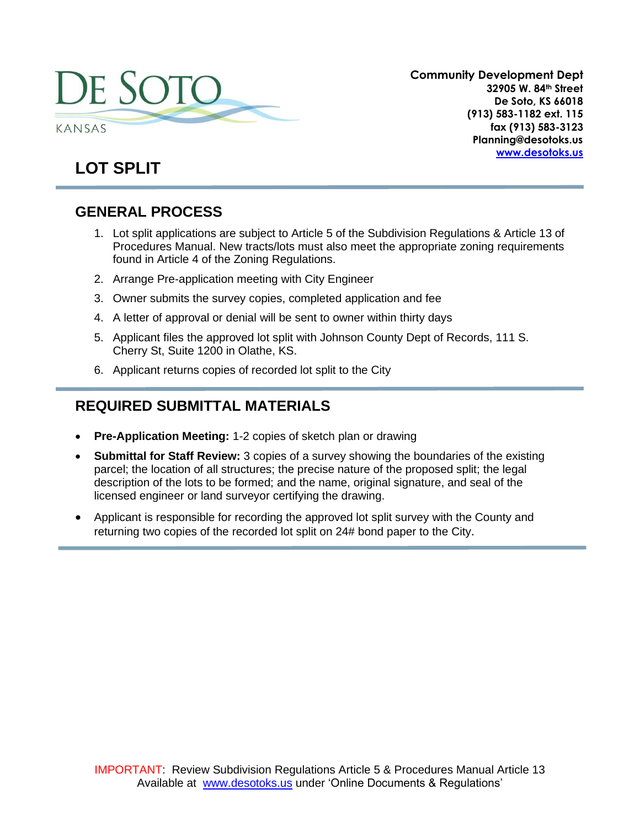

**Community Development Dept 32905 W. 84th Street De Soto, KS 66018 (913) 583-1182 ext. 115 fax (913) 583-3123 Planning@desotoks.us [www.desotoks.us](http://www.desotoks.us/)**

# **LOT SPLIT**

# **GENERAL PROCESS**

- 1. Lot split applications are subject to Article 5 of the Subdivision Regulations & Article 13 of Procedures Manual. New tracts/lots must also meet the appropriate zoning requirements found in Article 4 of the Zoning Regulations.
- 2. Arrange Pre-application meeting with City Engineer
- 3. Owner submits the survey copies, completed application and fee
- 4. A letter of approval or denial will be sent to owner within thirty days
- 5. Applicant files the approved lot split with Johnson County Dept of Records, 111 S. Cherry St, Suite 1200 in Olathe, KS.
- 6. Applicant returns copies of recorded lot split to the City

### **REQUIRED SUBMITTAL MATERIALS**

- **Pre-Application Meeting:** 1-2 copies of sketch plan or drawing
- **Submittal for Staff Review:** 3 copies of a survey showing the boundaries of the existing parcel; the location of all structures; the precise nature of the proposed split; the legal description of the lots to be formed; and the name, original signature, and seal of the licensed engineer or land surveyor certifying the drawing.
- Applicant is responsible for recording the approved lot split survey with the County and returning two copies of the recorded lot split on 24# bond paper to the City.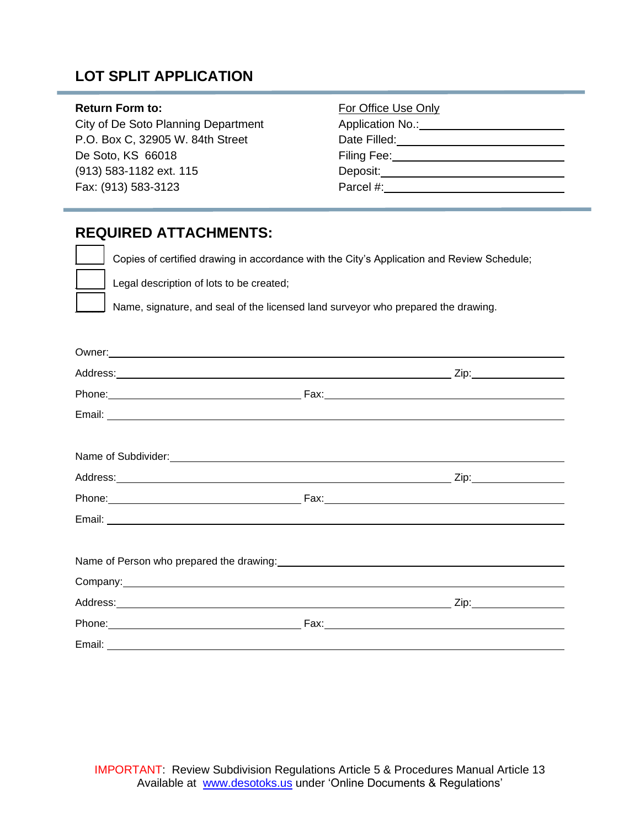# **LOT SPLIT APPLICATION**

#### **Return Form to:**

City of De Soto Planning Department P.O. Box C, 32905 W. 84th Street De Soto, KS 66018 (913) 583-1182 ext. 115 Fax: (913) 583-3123

| For Office Use Only |
|---------------------|
| Application No.:_   |
| Date Filled:        |
| Filing Fee:         |
| Deposit:            |
| Parcel #:           |

### **REQUIRED ATTACHMENTS:**

Copies of certified drawing in accordance with the City's Application and Review Schedule; Legal description of lots to be created;

Name, signature, and seal of the licensed land surveyor who prepared the drawing.

|        | Owner: New York Changes and Changes and Changes and Changes and Changes and Changes and Changes and Changes and Changes and Changes and Changes and Changes and Changes and Changes and Changes and Changes and Changes and Ch |  |
|--------|--------------------------------------------------------------------------------------------------------------------------------------------------------------------------------------------------------------------------------|--|
|        |                                                                                                                                                                                                                                |  |
|        |                                                                                                                                                                                                                                |  |
|        |                                                                                                                                                                                                                                |  |
|        | Name of Subdivider:<br><u> Name of Subdivider:</u>                                                                                                                                                                             |  |
|        |                                                                                                                                                                                                                                |  |
|        |                                                                                                                                                                                                                                |  |
|        |                                                                                                                                                                                                                                |  |
|        |                                                                                                                                                                                                                                |  |
|        | Company: <u>company:</u>                                                                                                                                                                                                       |  |
|        |                                                                                                                                                                                                                                |  |
|        |                                                                                                                                                                                                                                |  |
| Email: |                                                                                                                                                                                                                                |  |